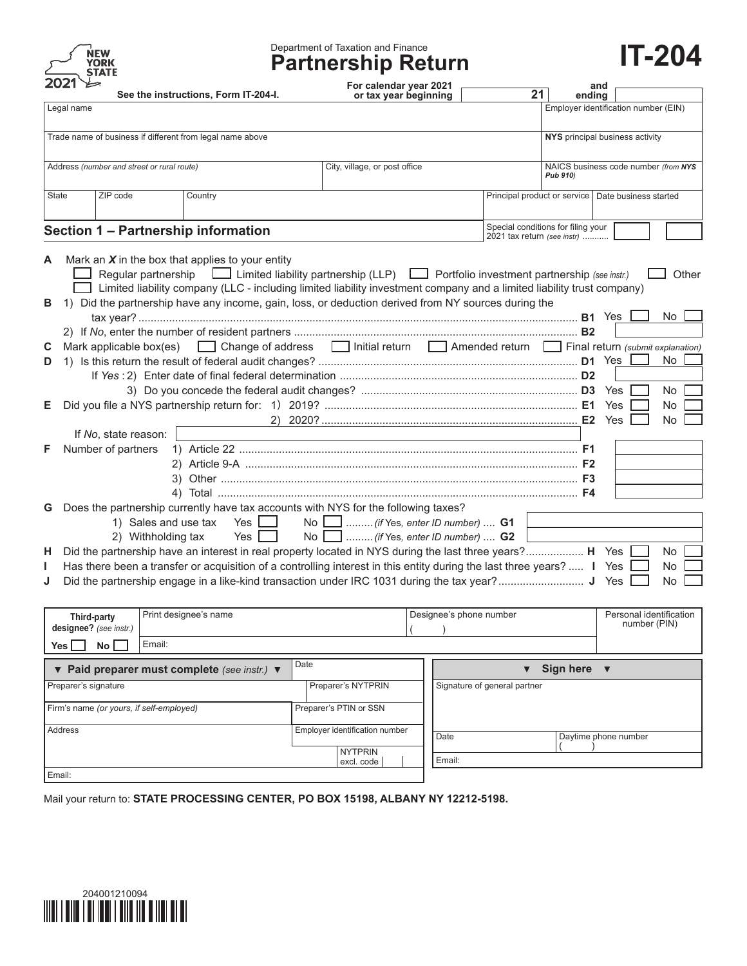

# Department of Taxation and Finance **Partnership Return IT-204**

For calendar year 2021  $\overline{a}$  and  $\overline{a}$ 

| See the instructions, Form IT-204-I.                                                                                                                                                                                                                                                                                                                                                                         | or tax year beginning                                                                      | 21                           | ending                                               |                                         |
|--------------------------------------------------------------------------------------------------------------------------------------------------------------------------------------------------------------------------------------------------------------------------------------------------------------------------------------------------------------------------------------------------------------|--------------------------------------------------------------------------------------------|------------------------------|------------------------------------------------------|-----------------------------------------|
| Legal name                                                                                                                                                                                                                                                                                                                                                                                                   |                                                                                            |                              |                                                      | Employer identification number (EIN)    |
| Trade name of business if different from legal name above                                                                                                                                                                                                                                                                                                                                                    | NYS principal business activity                                                            |                              |                                                      |                                         |
| Address (number and street or rural route)                                                                                                                                                                                                                                                                                                                                                                   |                                                                                            | Pub 910)                     | NAICS business code number (from NYS                 |                                         |
| State<br>ZIP code<br>Country                                                                                                                                                                                                                                                                                                                                                                                 |                                                                                            |                              | Principal product or service   Date business started |                                         |
|                                                                                                                                                                                                                                                                                                                                                                                                              |                                                                                            |                              | Special conditions for filing your                   |                                         |
| Section 1 - Partnership information                                                                                                                                                                                                                                                                                                                                                                          |                                                                                            |                              | 2021 tax return (see instr)                          |                                         |
| Mark an $X$ in the box that applies to your entity<br>Α<br>Regular partnership<br>Limited liability partnership (LLP)<br>Dertfolio investment partnership (see instr.)<br>Limited liability company (LLC - including limited liability investment company and a limited liability trust company)<br>1) Did the partnership have any income, gain, loss, or deduction derived from NY sources during the<br>в |                                                                                            |                              |                                                      | Other<br>No                             |
| Mark applicable box(es) <b>Conserver Stratuster Conserver Americal Conserver Conserver Conserver Conserver Conserver Conserver Conserver Conserver Conserver Conserver Conserver Conserver Conserver Conserver Conserver Conserv</b><br>С                                                                                                                                                                    |                                                                                            |                              |                                                      |                                         |
| D                                                                                                                                                                                                                                                                                                                                                                                                            |                                                                                            |                              |                                                      | No                                      |
|                                                                                                                                                                                                                                                                                                                                                                                                              |                                                                                            |                              |                                                      |                                         |
| Е                                                                                                                                                                                                                                                                                                                                                                                                            |                                                                                            |                              | Yes                                                  | No.<br>No.                              |
|                                                                                                                                                                                                                                                                                                                                                                                                              |                                                                                            |                              |                                                      | No.                                     |
| If No, state reason:                                                                                                                                                                                                                                                                                                                                                                                         |                                                                                            |                              |                                                      |                                         |
| Number of partners<br>F                                                                                                                                                                                                                                                                                                                                                                                      |                                                                                            |                              |                                                      |                                         |
| Does the partnership currently have tax accounts with NYS for the following taxes?<br>G<br>1) Sales and use tax<br>Yes $\Box$<br>Yes [<br>2) Withholding tax                                                                                                                                                                                                                                                 | No        (if Yes, enter ID number) <b>G1</b><br>No    (if Yes, enter ID number) <b>G2</b> |                              |                                                      |                                         |
| Did the partnership have an interest in real property located in NYS during the last three years? H Yes<br>н.                                                                                                                                                                                                                                                                                                |                                                                                            |                              |                                                      | No.                                     |
| Has there been a transfer or acquisition of a controlling interest in this entity during the last three years? I Yes                                                                                                                                                                                                                                                                                         |                                                                                            |                              |                                                      | No<br>No.                               |
| Print designee's name<br>Third-party<br>designee? (see instr.)                                                                                                                                                                                                                                                                                                                                               |                                                                                            | Designee's phone number      |                                                      | Personal identification<br>number (PIN) |
| Email:<br>No  <br>Yes [                                                                                                                                                                                                                                                                                                                                                                                      |                                                                                            |                              |                                                      |                                         |
| ▼ Paid preparer must complete (see instr.) ▼                                                                                                                                                                                                                                                                                                                                                                 | Date                                                                                       |                              | Sign here                                            |                                         |
| Preparer's signature                                                                                                                                                                                                                                                                                                                                                                                         | Preparer's NYTPRIN                                                                         | Signature of general partner |                                                      |                                         |
| Firm's name (or yours, if self-employed)                                                                                                                                                                                                                                                                                                                                                                     | Preparer's PTIN or SSN                                                                     |                              |                                                      |                                         |
| <b>Address</b>                                                                                                                                                                                                                                                                                                                                                                                               | Employer identification number<br>Date                                                     |                              | Daytime phone number                                 |                                         |
|                                                                                                                                                                                                                                                                                                                                                                                                              | <b>NYTPRIN</b>                                                                             |                              |                                                      |                                         |
| Email:                                                                                                                                                                                                                                                                                                                                                                                                       | Email:<br>excl. code                                                                       |                              |                                                      |                                         |

Mail your return to: **STATE PROCESSING CENTER, PO BOX 15198, ALBANY NY 12212-5198.**

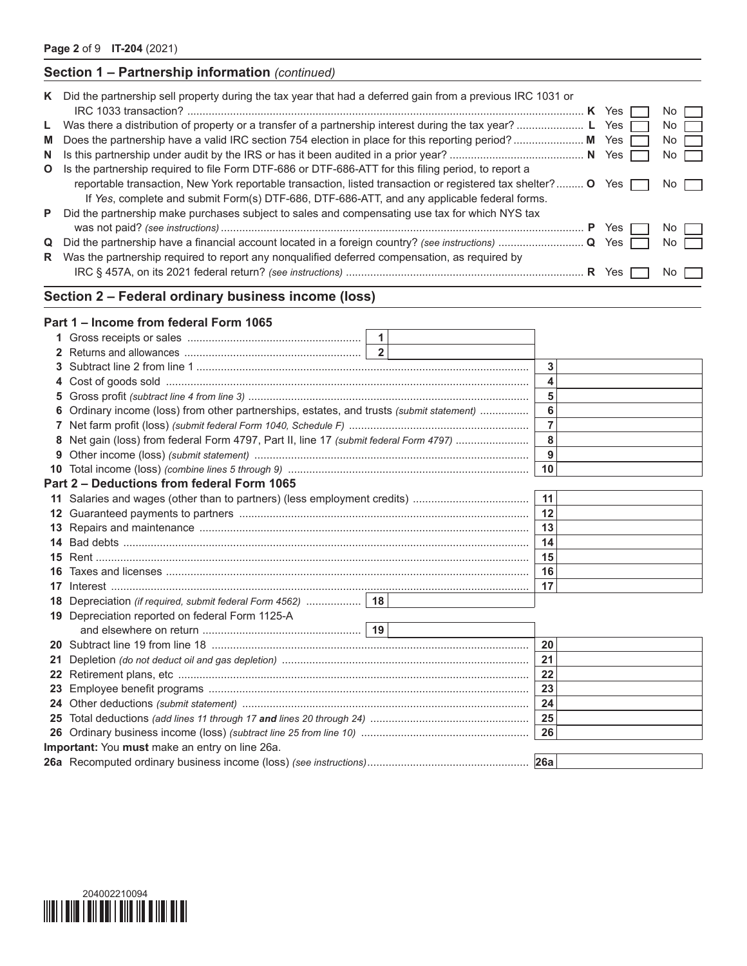## **Section 1 – Partnership information** *(continued)*

|    | K Did the partnership sell property during the tax year that had a deferred gain from a previous IRC 1031 or |              | $No$ $\Box$ |
|----|--------------------------------------------------------------------------------------------------------------|--------------|-------------|
|    | L Was there a distribution of property or a transfer of a partnership interest during the tax year?  L Yes   |              | No II       |
|    | M Does the partnership have a valid IRC section 754 election in place for this reporting period?  M Yes      |              | No          |
| N. |                                                                                                              |              | $No$        |
| O  | Is the partnership required to file Form DTF-686 or DTF-686-ATT for this filing period, to report a          |              |             |
|    | reportable transaction, New York reportable transaction, listed transaction or registered tax shelter? O Yes |              | No l        |
|    | If Yes, complete and submit Form(s) DTF-686, DTF-686-ATT, and any applicable federal forms.                  |              |             |
| P. | Did the partnership make purchases subject to sales and compensating use tax for which NYS tax               |              |             |
|    |                                                                                                              | <b>P</b> Yes | No II       |
| Q  |                                                                                                              |              | No II       |
| R. | Was the partnership required to report any nonqualified deferred compensation, as required by                |              |             |
|    |                                                                                                              | Yes          | No.         |

# **Section 2 – Federal ordinary business income (loss)**

#### **Part 1 – Income from federal Form 1065**

| 1.              |                                                                                        |                           |                |  |
|-----------------|----------------------------------------------------------------------------------------|---------------------------|----------------|--|
| 2               |                                                                                        | $\overline{\phantom{0}2}$ |                |  |
| 3               |                                                                                        |                           | 3              |  |
| 4               |                                                                                        |                           | 4              |  |
| 5               |                                                                                        |                           | 5              |  |
| 6               | Ordinary income (loss) from other partnerships, estates, and trusts (submit statement) |                           | 6              |  |
|                 |                                                                                        |                           | $\overline{7}$ |  |
| 8               | Net gain (loss) from federal Form 4797, Part II, line 17 (submit federal Form 4797)    |                           | 8              |  |
| 9               |                                                                                        |                           | 9              |  |
| 10              |                                                                                        |                           | 10             |  |
|                 | Part 2 – Deductions from federal Form 1065                                             |                           |                |  |
| 11              |                                                                                        |                           | 11             |  |
| 12 <sup>°</sup> |                                                                                        |                           | 12             |  |
| 13              |                                                                                        |                           | 13             |  |
| 14              |                                                                                        |                           | 14             |  |
| 15              |                                                                                        |                           | 15             |  |
| 16              |                                                                                        |                           | 16             |  |
| 17              |                                                                                        |                           | 17             |  |
| 18              |                                                                                        |                           |                |  |
| 19              | Depreciation reported on federal Form 1125-A                                           |                           |                |  |
|                 |                                                                                        |                           |                |  |
| 20              |                                                                                        |                           | 20             |  |
| 21              |                                                                                        |                           | 21             |  |
| 22              |                                                                                        |                           | 22             |  |
| 23              |                                                                                        |                           |                |  |
|                 |                                                                                        |                           | 23             |  |
| 24              |                                                                                        |                           | 24             |  |
| $25\,$          |                                                                                        |                           | 25             |  |
| 26              |                                                                                        |                           | 26             |  |
|                 | Important: You must make an entry on line 26a.                                         |                           |                |  |

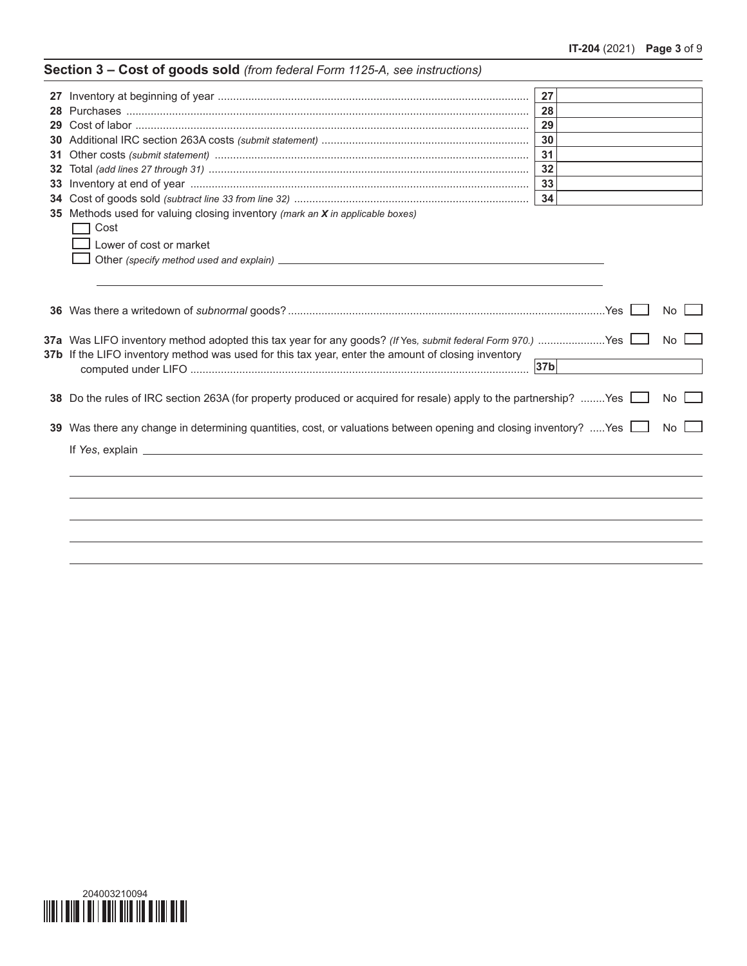|     |                                                                                                                   | 27              |           |
|-----|-------------------------------------------------------------------------------------------------------------------|-----------------|-----------|
| 28. |                                                                                                                   | 28              |           |
| 29  |                                                                                                                   | 29              |           |
| 30  |                                                                                                                   | 30              |           |
| 31  |                                                                                                                   | 31              |           |
| 32  |                                                                                                                   | 32              |           |
| 33  |                                                                                                                   | 33              |           |
| 34  |                                                                                                                   | 34              |           |
|     | <b>35</b> Methods used for valuing closing inventory <i>(mark an X in applicable boxes)</i>                       |                 |           |
|     | Cost                                                                                                              |                 |           |
|     | Lower of cost or market                                                                                           |                 |           |
|     |                                                                                                                   |                 |           |
|     |                                                                                                                   |                 |           |
|     |                                                                                                                   |                 |           |
|     |                                                                                                                   |                 | <b>No</b> |
|     | 37a Was LIFO inventory method adopted this tax year for any goods? (If Yes, submit federal Form 970.)  Yes        |                 | <b>No</b> |
|     | 37b If the LIFO inventory method was used for this tax year, enter the amount of closing inventory                |                 |           |
|     |                                                                                                                   | 37 <sub>b</sub> |           |
|     | 38 Do the rules of IRC section 263A (for property produced or acquired for resale) apply to the partnership? Yes  |                 | No l      |
|     |                                                                                                                   |                 |           |
|     | 39 Was there any change in determining quantities, cost, or valuations between opening and closing inventory? Yes |                 | <b>No</b> |
|     |                                                                                                                   |                 |           |
|     |                                                                                                                   |                 |           |
|     |                                                                                                                   |                 |           |
|     |                                                                                                                   |                 |           |
|     |                                                                                                                   |                 |           |
|     |                                                                                                                   |                 |           |
|     |                                                                                                                   |                 |           |
|     |                                                                                                                   |                 |           |
|     |                                                                                                                   |                 |           |

# **Section 3 – Cost of goods sold** *(from federal Form 1125-A, see instructions)*

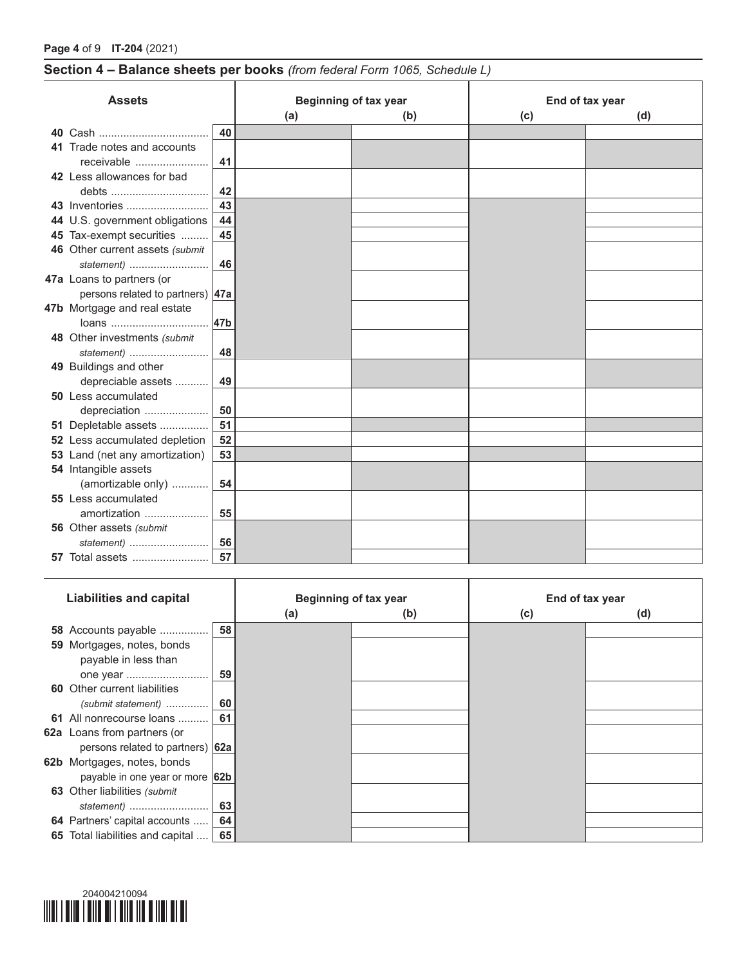# **Section 4 – Balance sheets per books** *(from federal Form 1065, Schedule L)*

T

| <b>Assets</b> |                                  |     | <b>Beginning of tax year</b> |     | End of tax year |     |  |  |
|---------------|----------------------------------|-----|------------------------------|-----|-----------------|-----|--|--|
|               |                                  |     | (a)                          | (b) | (c)             | (d) |  |  |
| 40            |                                  | 40  |                              |     |                 |     |  |  |
|               | 41 Trade notes and accounts      |     |                              |     |                 |     |  |  |
|               | receivable                       | 41  |                              |     |                 |     |  |  |
|               | 42 Less allowances for bad       |     |                              |     |                 |     |  |  |
|               | debts                            | 42  |                              |     |                 |     |  |  |
|               | 43 Inventories                   | 43  |                              |     |                 |     |  |  |
|               | 44 U.S. government obligations   | 44  |                              |     |                 |     |  |  |
|               | 45 Tax-exempt securities         | 45  |                              |     |                 |     |  |  |
|               | 46 Other current assets (submit  |     |                              |     |                 |     |  |  |
|               | statement $)$                    | 46  |                              |     |                 |     |  |  |
|               | 47a Loans to partners (or        |     |                              |     |                 |     |  |  |
|               | persons related to partners) 47a |     |                              |     |                 |     |  |  |
|               | 47b Mortgage and real estate     |     |                              |     |                 |     |  |  |
|               | loans                            | 47b |                              |     |                 |     |  |  |
|               | 48 Other investments (submit     |     |                              |     |                 |     |  |  |
|               | statement $)$                    | 48  |                              |     |                 |     |  |  |
|               | 49 Buildings and other           |     |                              |     |                 |     |  |  |
|               | depreciable assets               | 49  |                              |     |                 |     |  |  |
|               | 50 Less accumulated              |     |                              |     |                 |     |  |  |
|               | depreciation                     | 50  |                              |     |                 |     |  |  |
|               | 51 Depletable assets             | 51  |                              |     |                 |     |  |  |
|               | 52 Less accumulated depletion    | 52  |                              |     |                 |     |  |  |
|               | 53 Land (net any amortization)   | 53  |                              |     |                 |     |  |  |
|               | 54 Intangible assets             |     |                              |     |                 |     |  |  |
|               | (amortizable only)               | 54  |                              |     |                 |     |  |  |
|               | 55 Less accumulated              |     |                              |     |                 |     |  |  |
|               | amortization                     | 55  |                              |     |                 |     |  |  |
|               | 56 Other assets (submit          |     |                              |     |                 |     |  |  |
|               | statement)                       | 56  |                              |     |                 |     |  |  |
|               | <b>57</b> Total assets           | 57  |                              |     |                 |     |  |  |

| <b>Liabilities and capital</b>      |    | <b>Beginning of tax year</b> |     | End of tax year |     |
|-------------------------------------|----|------------------------------|-----|-----------------|-----|
|                                     |    | (a)                          | (b) | (c)             | (d) |
| 58 Accounts payable                 | 58 |                              |     |                 |     |
| 59 Mortgages, notes, bonds          |    |                              |     |                 |     |
| payable in less than                |    |                              |     |                 |     |
|                                     | 59 |                              |     |                 |     |
| <b>60</b> Other current liabilities |    |                              |     |                 |     |
| (submit statement)                  | 60 |                              |     |                 |     |
| 61 All nonrecourse loans            | 61 |                              |     |                 |     |
| <b>62a</b> Loans from partners (or  |    |                              |     |                 |     |
| persons related to partners) 62a    |    |                              |     |                 |     |
| 62b Mortgages, notes, bonds         |    |                              |     |                 |     |
| payable in one year or more 62b     |    |                              |     |                 |     |
| 63 Other liabilities (submit        |    |                              |     |                 |     |
| statement)                          | 63 |                              |     |                 |     |
| 64 Partners' capital accounts       | 64 |                              |     |                 |     |
| 65 Total liabilities and capital    | 65 |                              |     |                 |     |

T

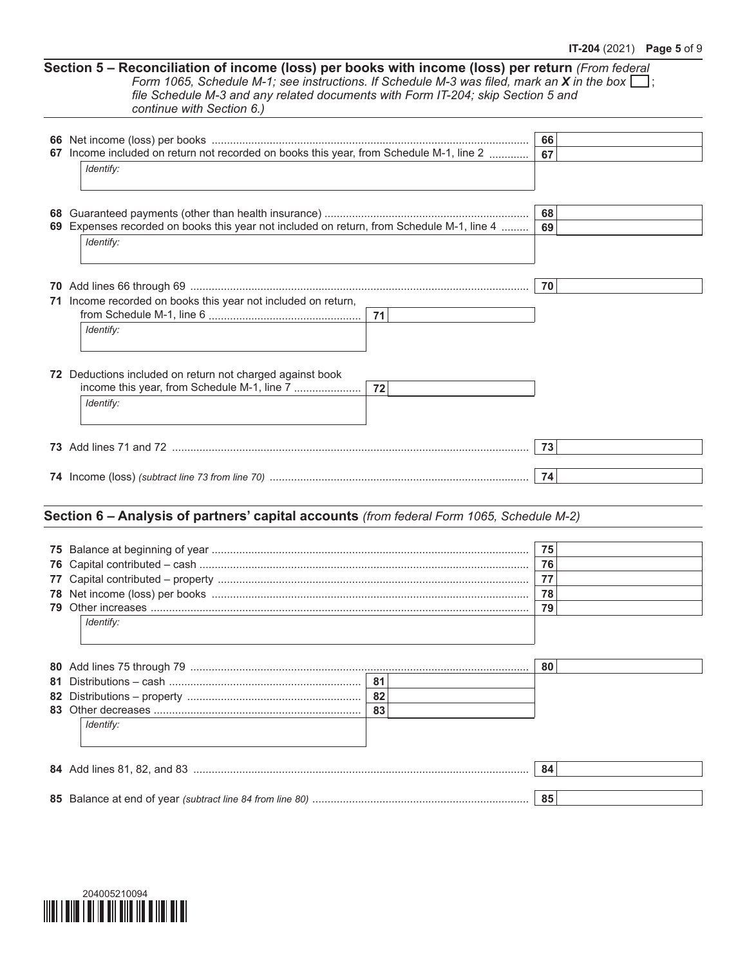**Section 5 – Reconciliation of income (loss) per books with income (loss) per return** *(From federal Form* 1065, *Schedule M-1; see instructions.* If *Schedule M-3* was filed, mark an **X** in the box  $\Box$ ; *file Schedule M-3 and any related documents with Form IT-204; skip Section 5 and continue with Section 6.)*

|    |                                                                                           | 66 |  |
|----|-------------------------------------------------------------------------------------------|----|--|
|    | 67 Income included on return not recorded on books this year, from Schedule M-1, line 2   | 67 |  |
|    | Identify:                                                                                 |    |  |
|    |                                                                                           |    |  |
|    |                                                                                           |    |  |
| 68 |                                                                                           | 68 |  |
|    | 69 Expenses recorded on books this year not included on return, from Schedule M-1, line 4 | 69 |  |
|    | Identify:                                                                                 |    |  |
|    |                                                                                           |    |  |
|    |                                                                                           |    |  |
|    |                                                                                           | 70 |  |
|    | 71 Income recorded on books this year not included on return,                             |    |  |
|    | 71                                                                                        |    |  |
|    | Identify:                                                                                 |    |  |
|    |                                                                                           |    |  |
|    |                                                                                           |    |  |
|    | 72 Deductions included on return not charged against book                                 |    |  |
|    | income this year, from Schedule M-1, line 7<br>72                                         |    |  |
|    | Identify:                                                                                 |    |  |
|    |                                                                                           |    |  |
|    |                                                                                           |    |  |
|    |                                                                                           | 73 |  |
|    |                                                                                           |    |  |
|    |                                                                                           | 74 |  |
|    |                                                                                           |    |  |
|    |                                                                                           |    |  |
|    | Section 6 - Analysis of partners' capital accounts (from federal Form 1065, Schedule M-2) |    |  |
|    |                                                                                           |    |  |
| 75 |                                                                                           | 75 |  |
| 76 |                                                                                           | 76 |  |
| 77 |                                                                                           | 77 |  |
|    |                                                                                           | 78 |  |
|    |                                                                                           | 79 |  |
|    |                                                                                           |    |  |

|           |     | 80 |
|-----------|-----|----|
|           | -81 |    |
|           | 82  |    |
|           | 83  |    |
| Identify: |     |    |
|           |     |    |
|           |     |    |
|           |     |    |

| റാ | 85 Balance at end of year (subtract line 84 from line 80). |  |
|----|------------------------------------------------------------|--|
|----|------------------------------------------------------------|--|



*Identify:*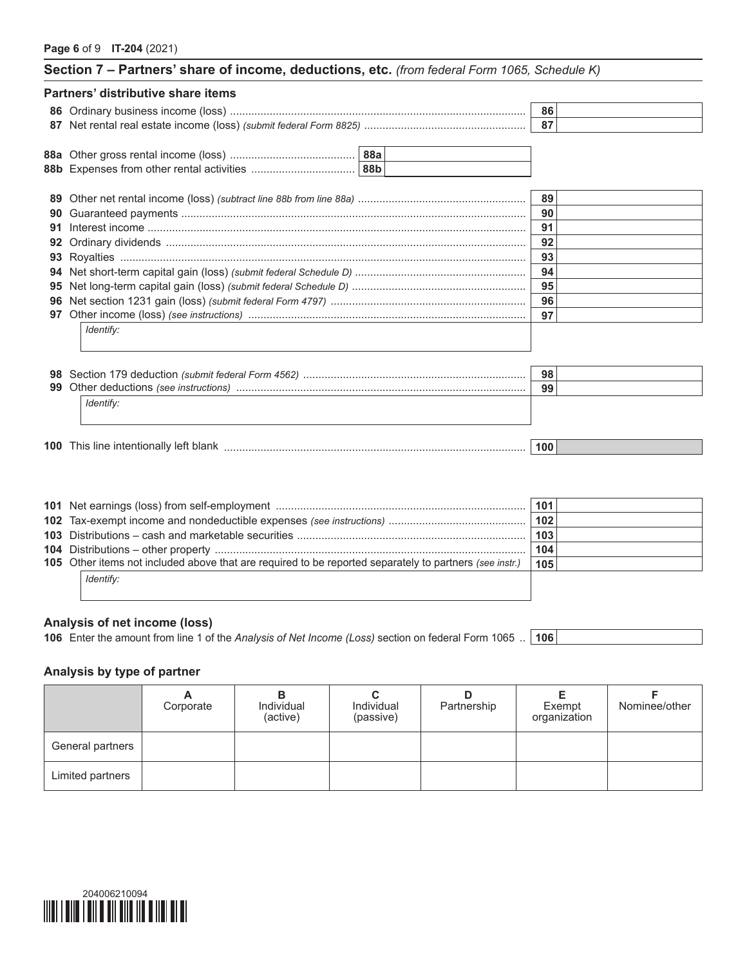| Section 7 - Partners' share of income, deductions, etc. (from federal Form 1065, Schedule K) |     |  |
|----------------------------------------------------------------------------------------------|-----|--|
| Partners' distributive share items                                                           |     |  |
|                                                                                              | 86  |  |
|                                                                                              |     |  |
|                                                                                              |     |  |
|                                                                                              |     |  |
| 89                                                                                           | 89  |  |
| 90                                                                                           | 90  |  |
| 91                                                                                           | 91  |  |
| 92                                                                                           | 92  |  |
| 93                                                                                           | 93  |  |
|                                                                                              | 94  |  |
| 95                                                                                           | 95  |  |
|                                                                                              | 96  |  |
|                                                                                              | 97  |  |
| Identify:                                                                                    |     |  |
| 98                                                                                           | 98  |  |
| 99                                                                                           | 99  |  |
| Identify:                                                                                    |     |  |
|                                                                                              | 100 |  |

|                                                                                                         | 101 |  |
|---------------------------------------------------------------------------------------------------------|-----|--|
|                                                                                                         | 102 |  |
|                                                                                                         | 103 |  |
|                                                                                                         | 104 |  |
| 105 Other items not included above that are required to be reported separately to partners (see instr.) | 105 |  |
| <i>Identify:</i>                                                                                        |     |  |
|                                                                                                         |     |  |

#### **Analysis of net income (loss)**

**106** Enter the amount from line 1 of the *Analysis of Net Income (Loss)* section on federal Form 1065 .. **106**

## **Analysis by type of partner**

|                  | Corporate | Individual<br>(active) | Individual<br>(passive) | Partnership | Exempt<br>organization | Nominee/other |
|------------------|-----------|------------------------|-------------------------|-------------|------------------------|---------------|
| General partners |           |                        |                         |             |                        |               |
| Limited partners |           |                        |                         |             |                        |               |

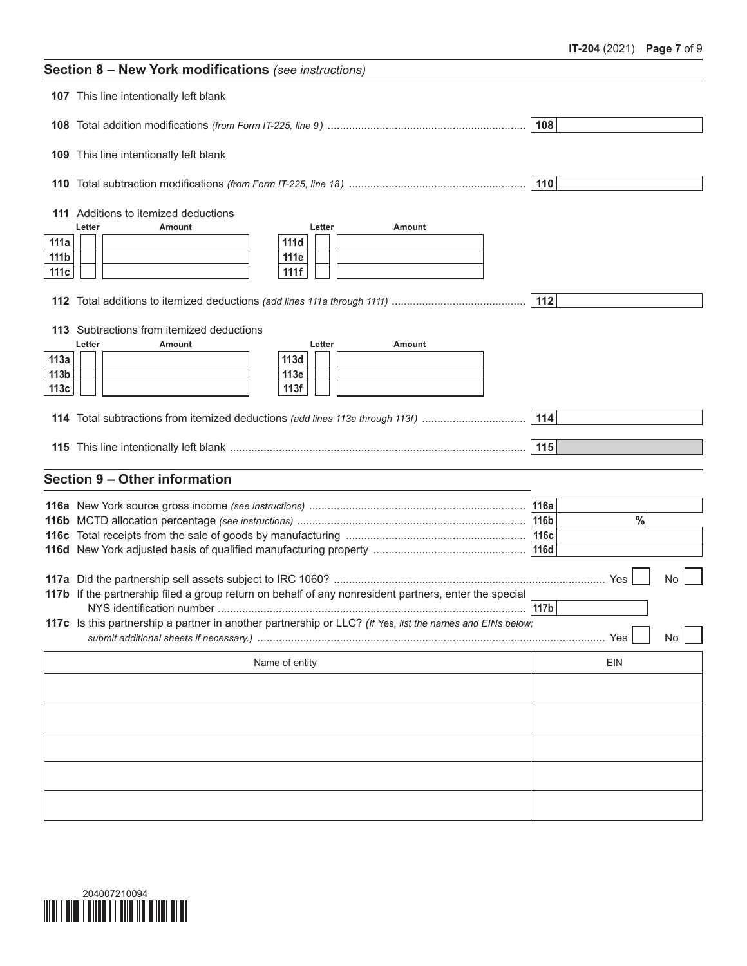| Section 8 - New York modifications (see instructions) |                                                                                                           |              |  |  |  |
|-------------------------------------------------------|-----------------------------------------------------------------------------------------------------------|--------------|--|--|--|
|                                                       | 107 This line intentionally left blank                                                                    |              |  |  |  |
|                                                       |                                                                                                           | 108          |  |  |  |
|                                                       | 109 This line intentionally left blank                                                                    |              |  |  |  |
|                                                       |                                                                                                           | 110          |  |  |  |
|                                                       | 111 Additions to itemized deductions<br>Amount                                                            |              |  |  |  |
| 111a                                                  | Letter<br><b>Amount</b><br>Letter<br>111d                                                                 |              |  |  |  |
| 111b                                                  | 111e                                                                                                      |              |  |  |  |
| 111c                                                  | 111f                                                                                                      |              |  |  |  |
|                                                       |                                                                                                           | 112          |  |  |  |
|                                                       | 113 Subtractions from itemized deductions                                                                 |              |  |  |  |
|                                                       | Letter<br>Letter<br>Amount<br>Amount                                                                      |              |  |  |  |
| 113a<br>113 <sub>b</sub>                              | 113d<br>113e                                                                                              |              |  |  |  |
| 113c                                                  | 113f                                                                                                      |              |  |  |  |
|                                                       | 114 Total subtractions from itemized deductions (add lines 113a through 113f)                             | 114          |  |  |  |
|                                                       |                                                                                                           |              |  |  |  |
|                                                       |                                                                                                           | 115          |  |  |  |
|                                                       | Section 9 - Other information                                                                             |              |  |  |  |
|                                                       |                                                                                                           | 116a         |  |  |  |
|                                                       |                                                                                                           | $\%$<br>116b |  |  |  |
|                                                       |                                                                                                           |              |  |  |  |
|                                                       |                                                                                                           | <b>116d</b>  |  |  |  |
|                                                       |                                                                                                           | Yes<br>No    |  |  |  |
|                                                       | 117b If the partnership filed a group return on behalf of any nonresident partners, enter the special     |              |  |  |  |
|                                                       |                                                                                                           |              |  |  |  |
|                                                       | 117c Is this partnership a partner in another partnership or LLC? (If Yes, list the names and EINs below; | No<br>Yes    |  |  |  |
|                                                       | Name of entity                                                                                            | EIN          |  |  |  |
|                                                       |                                                                                                           |              |  |  |  |
|                                                       |                                                                                                           |              |  |  |  |
|                                                       |                                                                                                           |              |  |  |  |
|                                                       |                                                                                                           |              |  |  |  |
|                                                       |                                                                                                           |              |  |  |  |
|                                                       |                                                                                                           |              |  |  |  |

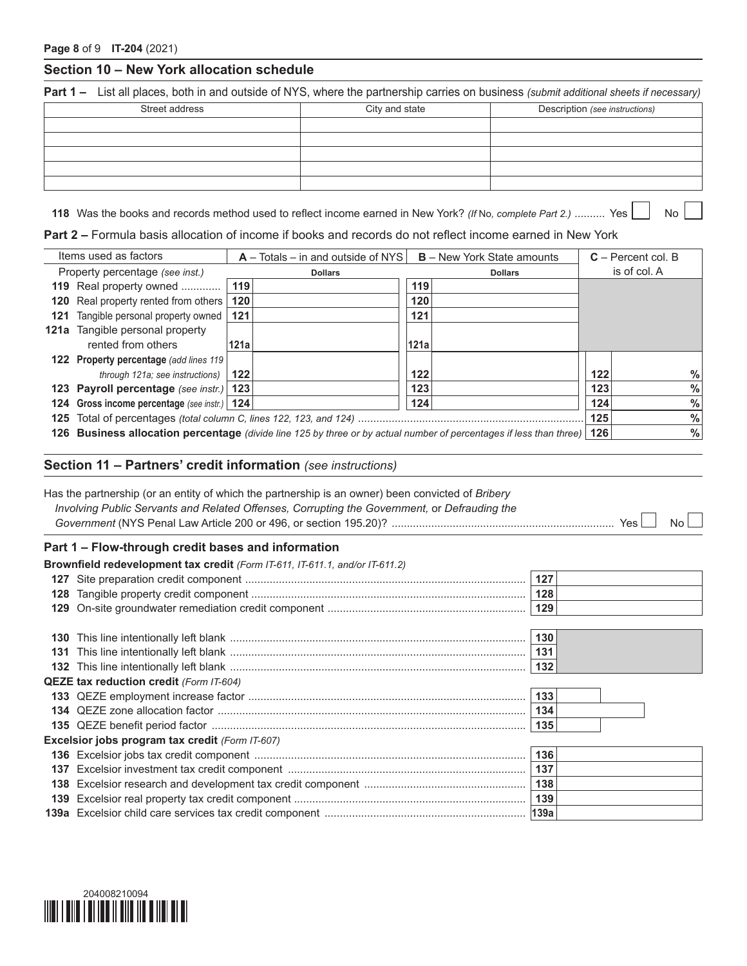#### **Section 10 – New York allocation schedule**

**Part 1 –** List all places, both in and outside of NYS, where the partnership carries on business *(submit additional sheets if necessary)*

| Street address | City and state | Description (see instructions) |
|----------------|----------------|--------------------------------|
|                |                |                                |
|                |                |                                |
|                |                |                                |
|                |                |                                |
|                |                |                                |

**118** Was the books and records method used to reflect income earned in New York? *(If* No, complete Part 2.) .......... Yes No

**Part 2 –** Formula basis allocation of income if books and records do not reflect income earned in New York

| Items used as factors                                                                                               | $A - \text{Totals} - \text{in}$ and outside of NYS<br><b>B</b> – New York State amounts |                | $C -$ Percent col. B |  |
|---------------------------------------------------------------------------------------------------------------------|-----------------------------------------------------------------------------------------|----------------|----------------------|--|
| Property percentage (see inst.)                                                                                     | <b>Dollars</b>                                                                          | <b>Dollars</b> | is of col. A         |  |
| 119 Real property owned                                                                                             | 119                                                                                     | 119            |                      |  |
| 120 Real property rented from others                                                                                | 120                                                                                     | 120            |                      |  |
| <b>121</b> Tangible personal property owned                                                                         | 121                                                                                     | 121            |                      |  |
| <b>121a</b> Tangible personal property                                                                              |                                                                                         |                |                      |  |
| rented from others                                                                                                  | 121a                                                                                    | 121a           |                      |  |
| <b>122 Property percentage (add lines 119)</b>                                                                      |                                                                                         |                |                      |  |
| through 121a; see instructions)                                                                                     | 122                                                                                     | 122            | $\%$<br>122          |  |
| 123 Payroll percentage (see instr.) 123                                                                             |                                                                                         | 123            | $\%$<br>123          |  |
| 124 Gross income percentage (see instr.)   124                                                                      |                                                                                         | 124            | $\%$<br>124          |  |
|                                                                                                                     | $\%$<br>125                                                                             |                |                      |  |
| 126 Business allocation percentage (divide line 125 by three or by actual number of percentages if less than three) | $\frac{0}{0}$<br>126                                                                    |                |                      |  |

#### **Section 11 – Partners' credit information** *(see instructions)*

|     | Has the partnership (or an entity of which the partnership is an owner) been convicted of <i>Bribery</i><br>Involving Public Servants and Related Offenses, Corrupting the Government, or Defrauding the | Nο   |
|-----|----------------------------------------------------------------------------------------------------------------------------------------------------------------------------------------------------------|------|
|     | Part 1 - Flow-through credit bases and information                                                                                                                                                       |      |
|     | Brownfield redevelopment tax credit (Form IT-611, IT-611.1, and/or IT-611.2)                                                                                                                             |      |
|     |                                                                                                                                                                                                          | 127  |
| 128 |                                                                                                                                                                                                          | 128  |
|     |                                                                                                                                                                                                          | 129  |
|     |                                                                                                                                                                                                          |      |
| 130 |                                                                                                                                                                                                          | 130  |
|     |                                                                                                                                                                                                          | 131  |
|     |                                                                                                                                                                                                          | 132  |
|     | <b>QEZE tax reduction credit (Form IT-604)</b>                                                                                                                                                           |      |
|     |                                                                                                                                                                                                          | 133  |
|     |                                                                                                                                                                                                          | 134  |
|     |                                                                                                                                                                                                          | 135  |
|     | Excelsior jobs program tax credit (Form IT-607)                                                                                                                                                          |      |
|     |                                                                                                                                                                                                          | 136  |
|     |                                                                                                                                                                                                          | 137  |
| 138 |                                                                                                                                                                                                          | 138  |
| 139 |                                                                                                                                                                                                          | 139  |
|     |                                                                                                                                                                                                          | 139a |
|     |                                                                                                                                                                                                          |      |